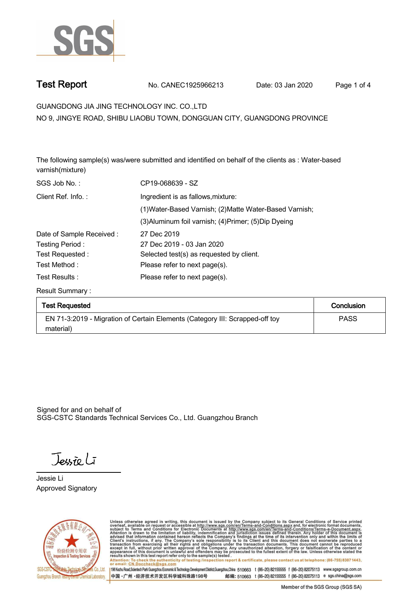

**Test Report. No. CANEC1925966213 Date: 03 Jan 2020. Page 1 of 4.**

# **GUANGDONG JIA JING TECHNOLOGY INC. CO.,LTD .**

**NO 9, JINGYE ROAD, SHIBU LIAOBU TOWN, DONGGUAN CITY, GUANGDONG PROVINCE**

**The following sample(s) was/were submitted and identified on behalf of the clients as : Water-based varnish(mixture).**

| SGS Job No.:             | CP19-068639 - SZ                                        |
|--------------------------|---------------------------------------------------------|
| Client Ref. Info.:       | Ingredient is as fallows, mixture:                      |
|                          | (1) Water-Based Varnish; (2) Matte Water-Based Varnish; |
|                          | (3) Aluminum foil varnish; (4) Primer; (5) Dip Dyeing   |
| Date of Sample Received: | 27 Dec 2019                                             |
| Testing Period:          | 27 Dec 2019 - 03 Jan 2020                               |
| Test Requested:          | Selected test(s) as requested by client.                |
| Test Method :            | Please refer to next page(s).                           |
| Test Results :           | Please refer to next page(s).                           |

**Result Summary :.**

| <b>Test Requested</b>                                                        | Conclusion  |
|------------------------------------------------------------------------------|-------------|
| EN 71-3:2019 - Migration of Certain Elements (Category III: Scrapped-off toy | <b>PASS</b> |
| material)                                                                    |             |

Signed for and on behalf of SGS-CSTC Standards Technical Services Co., Ltd. Guangzhou Branch.

Jessieli

**Jessie Li. Approved Signatory . . .**



Unless otherwise agreed in writing, this document is issued by the Company subject to its General Conditions of Service printed<br>overleaf, available on request or accessible at http://www.sgs.com/en/Terms-and-Conditions.asp Attention: To check the authenticity of testing /inspection report & certificate, please contact us at telephone: (86-755) 8307 1443,<br>Attention: To check the authenticity of testing /inspection report & certificate, please

198 Kezhu Road,Scientech Park Guangzhou Economic & Technology Development District,Guangzhou,China 510663 t (86-20) 82155555 f (86-20) 82075113 www.sgsgroup.com.cn 邮编: 510663 t (86-20) 82155555 f (86-20) 82075113 e sgs.china@sgs.com 中国·广州·经济技术开发区科学城科珠路198号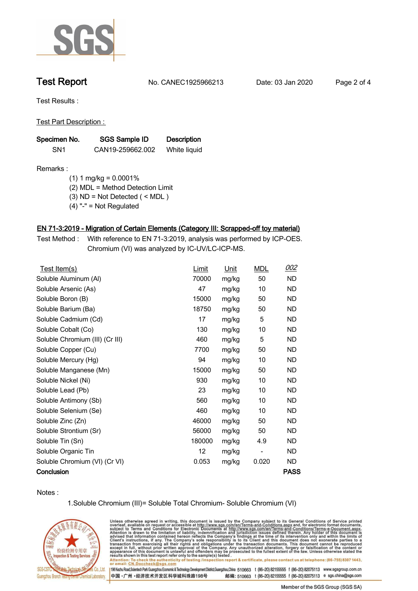

**Test Report. No. CANEC1925966213 Date: 03 Jan 2020. Page 2 of 4.**

**Test Results :.**

**Test Part Description : .**

| Specimen No.    | SGS Sample ID    | <b>Description</b> |  |
|-----------------|------------------|--------------------|--|
| SN <sub>1</sub> | CAN19-259662.002 | White liquid       |  |

## **Remarks :**

 **(1) 1 mg/kg = 0.0001%**

 **(2) MDL = Method Detection Limit**

 **(3) ND = Not Detected ( < MDL )**

 **(4) "-" = Not Regulated**

## **EN 71-3:2019 - Migration of Certain Elements (Category III: Scrapped-off toy material).**

**Test Method :. With reference to EN 71-3:2019, analysis was performed by ICP-OES. Chromium (VI) was analyzed by IC-UV/LC-ICP-MS. .**

| Test Item(s)                    | Limit  | Unit  | <b>MDL</b>               | 002         |
|---------------------------------|--------|-------|--------------------------|-------------|
| Soluble Aluminum (AI)           | 70000  | mg/kg | 50                       | ND.         |
| Soluble Arsenic (As)            | 47     | mg/kg | 10                       | <b>ND</b>   |
| Soluble Boron (B)               | 15000  | mg/kg | 50                       | <b>ND</b>   |
| Soluble Barium (Ba)             | 18750  | mg/kg | 50                       | <b>ND</b>   |
| Soluble Cadmium (Cd)            | 17     | mg/kg | 5                        | <b>ND</b>   |
| Soluble Cobalt (Co)             | 130    | mg/kg | 10                       | <b>ND</b>   |
| Soluble Chromium (III) (Cr III) | 460    | mg/kg | 5                        | ND.         |
| Soluble Copper (Cu)             | 7700   | mg/kg | 50                       | <b>ND</b>   |
| Soluble Mercury (Hg)            | 94     | mg/kg | 10                       | <b>ND</b>   |
| Soluble Manganese (Mn)          | 15000  | mg/kg | 50                       | <b>ND</b>   |
| Soluble Nickel (Ni)             | 930    | mg/kg | 10                       | ND.         |
| Soluble Lead (Pb)               | 23     | mg/kg | 10                       | <b>ND</b>   |
| Soluble Antimony (Sb)           | 560    | mg/kg | 10                       | ND.         |
| Soluble Selenium (Se)           | 460    | mg/kg | 10                       | <b>ND</b>   |
| Soluble Zinc (Zn)               | 46000  | mg/kg | 50                       | <b>ND</b>   |
| Soluble Strontium (Sr)          | 56000  | mg/kg | 50                       | ND.         |
| Soluble Tin (Sn)                | 180000 | mg/kg | 4.9                      | ND.         |
| Soluble Organic Tin             | 12     | mg/kg | $\overline{\phantom{a}}$ | <b>ND</b>   |
| Soluble Chromium (VI) (Cr VI)   | 0.053  | mg/kg | 0.020                    | ND.         |
| Conclusion                      |        |       |                          | <b>PASS</b> |

**Notes :.**

**1.Soluble Chromium (III)= Soluble Total Chromium- Soluble Chromium (VI)**



Unless otherwise agreed in writing, this document is issued by the Company subject to its General Conditions of Service printed overleaf, available on request or accessible at http://www.sgs.com/en/Terms-and-Conditions.asp results snown in this test report refer only to the sample(s) tested .<br>Attention: To check the authenticity of testing /inspection report & certificate, please contact us at telephone: (86-755) 8307 1443,<br>or email: <u>CN.Doc</u>

198 Kezhu Road,Scientech Park Guangzhou Economic & Technology Development District,Guangzhou,China 510663 t (86-20) 82155555 f (86-20) 82075113 www.sgsgroup.com.cn 邮编: 510663 t (86-20) 82155555 f (86-20) 82075113 e sgs.china@sgs.com 中国·广州·经济技术开发区科学城科珠路198号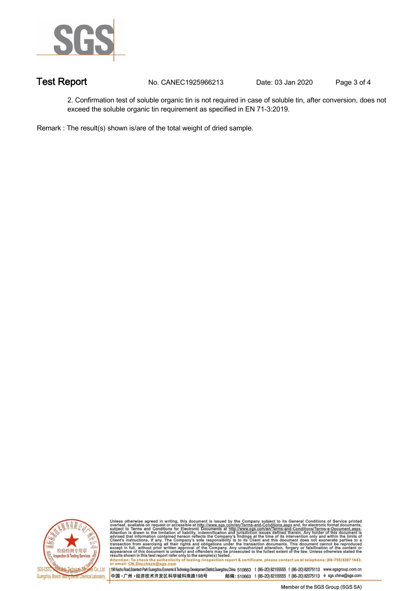

**Test Report. No. CANEC1925966213 Date: 03 Jan 2020. Page 3 of 4.**

**2. Confirmation test of soluble organic tin is not required in case of soluble tin, after conversion, does not exceed the soluble organic tin requirement as specified in EN 71-3:2019. .**

**Remark : The result(s) shown is/are of the total weight of dried sample. .**



Unless otherwise agreed in writing, this document is issued by the Company subject to its General Conditions of Service printed<br>overleaf, available on request or accessible at http://www.sgs.com/en/Terms-and-Conditions.asp results shown in this test report refer only to the sample(s) tested .<br>Attention: To check the authenticity of testing /inspection report & certificate, please contact us at telephone: (86-755) 8307 1443,<br>or email: <u>CN.Doc</u>

198 Kezhu Road,Scientech Park Guangzhou Economic & Technology Development District,Guangzhou,China 510663 t (86-20) 82155555 f (86-20) 82075113 www.sgsgroup.com.cn

中国·广州·经济技术开发区科学城科珠路198号 邮编: 510663 t (86-20) 82155555 f (86-20) 82075113 e sgs.china@sgs.com